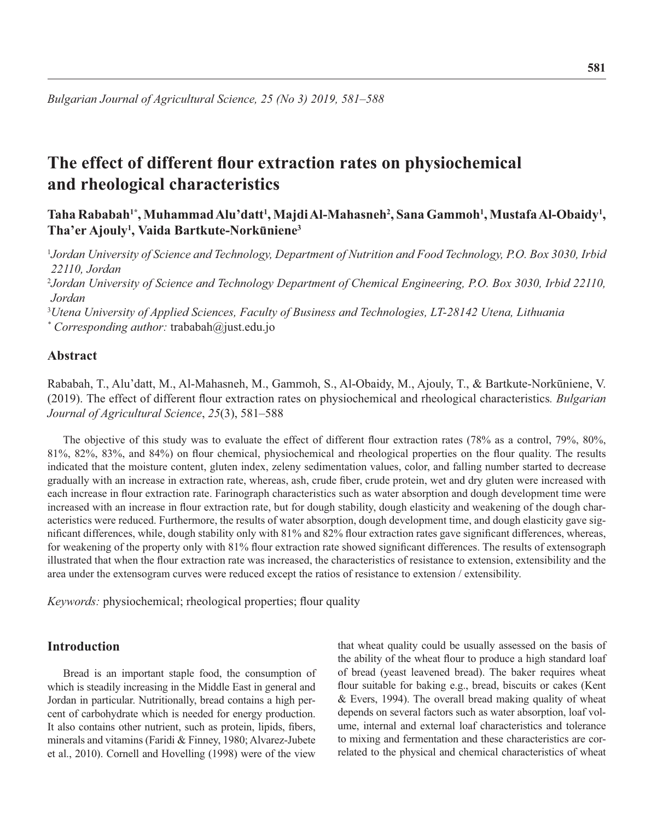# **The effect of different flour extraction rates on physiochemical and rheological characteristics**

Taha Rababah<sup>1\*</sup>, Muhammad Alu'datt<sup>1</sup>, Majdi Al-Mahasneh<sup>2</sup>, Sana Gammoh<sup>1</sup>, Mustafa Al-Obaidy<sup>1</sup>, **Tha'er Ajouly1 , Vaida Bartkute-Norkūniene3**

<sup>1</sup>*Jordan University of Science and Technology, Department of Nutrition and Food Technology, P.O. Box 3030, Irbid 22110, Jordan*

<sup>2</sup>*Jordan University of Science and Technology Department of Chemical Engineering, P.O. Box 3030, Irbid 22110, Jordan*

<sup>3</sup>*Utena University of Applied Sciences, Faculty of Business and Technologies, LT-28142 Utena, Lithuania \* Corresponding author:* trababah@just.edu.jo

# **Abstract**

Rababah, T., Alu'datt, M., Al-Mahasneh, M., Gammoh, S., Al-Obaidy, M., Ajouly, T., & Bartkute-Norkūniene, V. (2019). The effect of different flour extraction rates on physiochemical and rheological characteristics. Bulgarian *Journal of Agricultural Science*, *25*(3), 581–588

The objective of this study was to evaluate the effect of different flour extraction rates (78% as a control, 79%, 80%, 81%, 82%, 83%, and 84%) on flour chemical, physiochemical and rheological properties on the flour quality. The results indicated that the moisture content, gluten index, zeleny sedimentation values, color, and falling number started to decrease gradually with an increase in extraction rate, whereas, ash, crude fiber, crude protein, wet and dry gluten were increased with each increase in flour extraction rate. Farinograph characteristics such as water absorption and dough development time were increased with an increase in flour extraction rate, but for dough stability, dough elasticity and weakening of the dough characteristics were reduced. Furthermore, the results of water absorption, dough development time, and dough elasticity gave significant differences, while, dough stability only with 81% and 82% flour extraction rates gave significant differences, whereas, for weakening of the property only with 81% flour extraction rate showed significant differences. The results of extensograph illustrated that when the flour extraction rate was increased, the characteristics of resistance to extension, extensibility and the area under the extensogram curves were reduced except the ratios of resistance to extension / extensibility.

*Keywords:* physiochemical; rheological properties; flour quality

# **Introduction**

Bread is an important staple food, the consumption of which is steadily increasing in the Middle East in general and Jordan in particular. Nutritionally, bread contains a high percent of carbohydrate which is needed for energy production. It also contains other nutrient, such as protein, lipids, fibers, minerals and vitamins (Faridi & Finney, 1980; Alvarez-Jubete et al., 2010). Cornell and Hovelling (1998) were of the view

that wheat quality could be usually assessed on the basis of the ability of the wheat flour to produce a high standard loaf of bread (yeast leavened bread). The baker requires wheat flour suitable for baking e.g., bread, biscuits or cakes (Kent & Evers, 1994). The overall bread making quality of wheat depends on several factors such as water absorption, loaf volume, internal and external loaf characteristics and tolerance to mixing and fermentation and these characteristics are correlated to the physical and chemical characteristics of wheat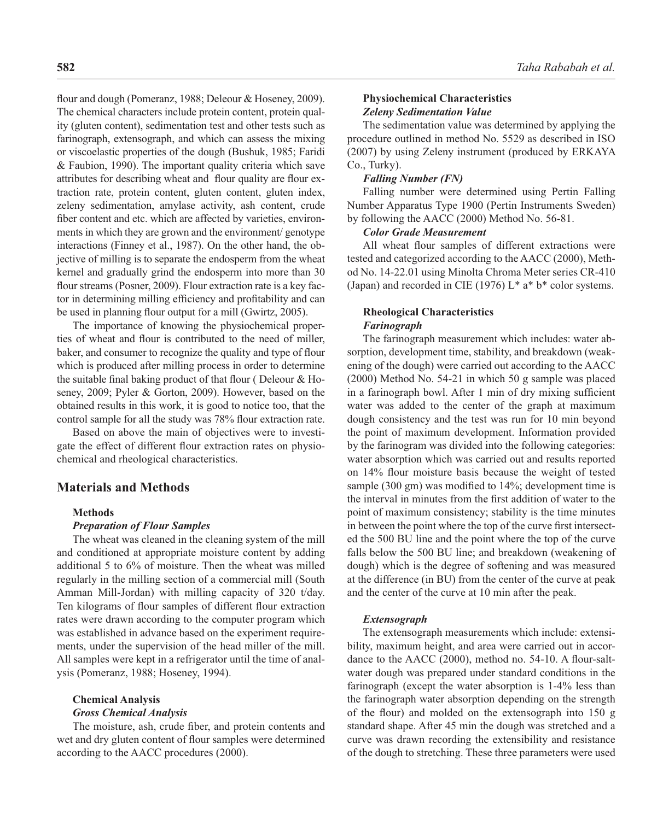flour and dough (Pomeranz, 1988; Deleour & Hoseney, 2009). The chemical characters include protein content, protein quality (gluten content), sedimentation test and other tests such as farinograph, extensograph, and which can assess the mixing or viscoelastic properties of the dough (Bushuk, 1985; Faridi & Faubion, 1990). The important quality criteria which save attributes for describing wheat and flour quality are flour extraction rate, protein content, gluten content, gluten index, zeleny sedimentation, amylase activity, ash content, crude fiber content and etc. which are affected by varieties, environments in which they are grown and the environment/ genotype interactions (Finney et al., 1987). On the other hand, the objective of milling is to separate the endosperm from the wheat kernel and gradually grind the endosperm into more than 30 flour streams (Posner, 2009). Flour extraction rate is a key factor in determining milling efficiency and profitability and can be used in planning flour output for a mill (Gwirtz, 2005).

The importance of knowing the physiochemical properties of wheat and flour is contributed to the need of miller, baker, and consumer to recognize the quality and type of flour which is produced after milling process in order to determine the suitable final baking product of that flour (Deleour  $&$  Hoseney, 2009; Pyler & Gorton, 2009). However, based on the obtained results in this work, it is good to notice too, that the control sample for all the study was 78% flour extraction rate.

Based on above the main of objectives were to investigate the effect of different flour extraction rates on physiochemical and rheological characteristics.

## **Materials and Methods**

## **Methods**

## *Preparation of Flour Samples*

The wheat was cleaned in the cleaning system of the mill and conditioned at appropriate moisture content by adding additional 5 to 6% of moisture. Then the wheat was milled regularly in the milling section of a commercial mill (South Amman Mill-Jordan) with milling capacity of 320 t/day. Ten kilograms of flour samples of different flour extraction rates were drawn according to the computer program which was established in advance based on the experiment requirements, under the supervision of the head miller of the mill. All samples were kept in a refrigerator until the time of analysis (Pomeranz, 1988; Hoseney, 1994).

# **Chemical Analysis**

#### *Gross Chemical Analysis*

The moisture, ash, crude fiber, and protein contents and wet and dry gluten content of flour samples were determined according to the AACC procedures (2000).

## **Physiochemical Characteristics** *Zeleny Sedimentation Value*

The sedimentation value was determined by applying the procedure outlined in method No. 5529 as described in ISO (2007) by using Zeleny instrument (produced by ERKAYA Co., Turky).

## *Falling Number (FN)*

Falling number were determined using Pertin Falling Number Apparatus Type 1900 (Pertin Instruments Sweden) by following the AACC (2000) Method No. 56-81.

#### *Color Grade Measurement*

All wheat flour samples of different extractions were tested and categorized according to the AACC (2000), Method No. 14-22.01 using Minolta Chroma Meter series CR-410 (Japan) and recorded in CIE (1976)  $L^*$  a<sup>\*</sup> b<sup>\*</sup> color systems.

### **Rheological Characteristics** *Farinograph*

The farinograph measurement which includes: water absorption, development time, stability, and breakdown (weakening of the dough) were carried out according to the AACC (2000) Method No. 54-21 in which 50 g sample was placed in a farinograph bowl. After 1 min of dry mixing sufficient water was added to the center of the graph at maximum dough consistency and the test was run for 10 min beyond the point of maximum development. Information provided by the farinogram was divided into the following categories: water absorption which was carried out and results reported on 14% flour moisture basis because the weight of tested sample (300 gm) was modified to 14%; development time is the interval in minutes from the first addition of water to the point of maximum consistency; stability is the time minutes in between the point where the top of the curve first intersected the 500 BU line and the point where the top of the curve falls below the 500 BU line; and breakdown (weakening of dough) which is the degree of softening and was measured at the difference (in BU) from the center of the curve at peak and the center of the curve at 10 min after the peak.

#### *Extensograph*

The extensograph measurements which include: extensibility, maximum height, and area were carried out in accordance to the AACC (2000), method no.  $54-10$ . A flour-saltwater dough was prepared under standard conditions in the farinograph (except the water absorption is 1-4% less than the farinograph water absorption depending on the strength of the flour) and molded on the extensograph into  $150 \text{ g}$ standard shape. After 45 min the dough was stretched and a curve was drawn recording the extensibility and resistance of the dough to stretching. These three parameters were used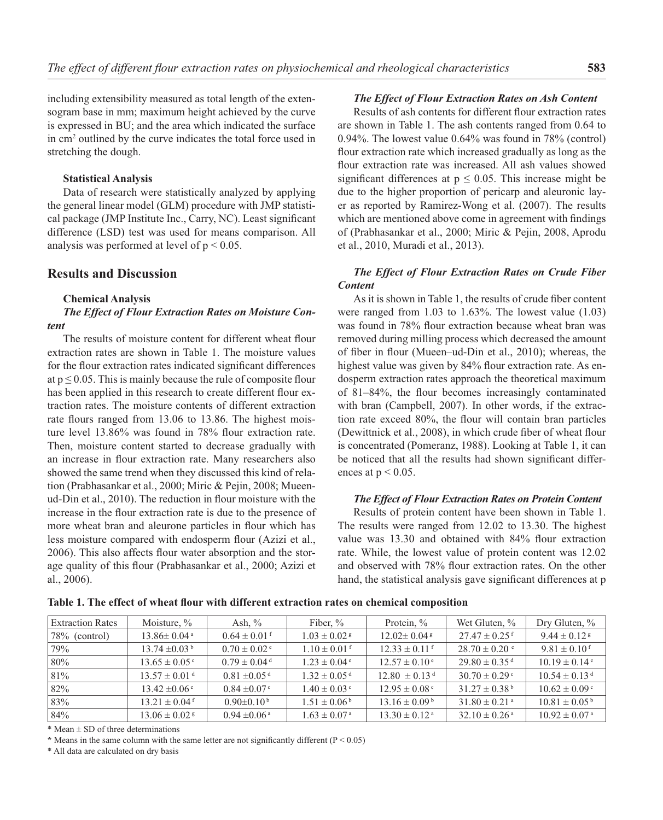including extensibility measured as total length of the extensogram base in mm; maximum height achieved by the curve is expressed in BU; and the area which indicated the surface in cm2 outlined by the curve indicates the total force used in stretching the dough.

#### **Statistical Analysis**

Data of research were statistically analyzed by applying the general linear model (GLM) procedure with JMP statistical package (JMP Institute Inc., Carry, NC). Least significant difference (LSD) test was used for means comparison. All analysis was performed at level of  $p < 0.05$ .

## **Results and Discussion**

#### **Chemical Analysis**

## *The Effect of Flour Extraction Rates on Moisture Content*

The results of moisture content for different wheat flour extraction rates are shown in Table 1. The moisture values for the flour extraction rates indicated significant differences at  $p \le 0.05$ . This is mainly because the rule of composite flour has been applied in this research to create different flour extraction rates. The moisture contents of different extraction rate flours ranged from 13.06 to 13.86. The highest moisture level 13.86% was found in 78% flour extraction rate. Then, moisture content started to decrease gradually with an increase in flour extraction rate. Many researchers also showed the same trend when they discussed this kind of relation (Prabhasankar et al., 2000; Miric & Pejin, 2008; Mueenud-Din et al., 2010). The reduction in flour moisture with the increase in the flour extraction rate is due to the presence of more wheat bran and aleurone particles in flour which has less moisture compared with endosperm flour (Azizi et al., 2006). This also affects flour water absorption and the storage quality of this flour (Prabhasankar et al., 2000; Azizi et al., 2006).

#### *The Effect of Flour Extraction Rates on Ash Content*

Results of ash contents for different flour extraction rates are shown in Table 1. The ash contents ranged from 0.64 to 0.94%. The lowest value 0.64% was found in 78% (control) flour extraction rate which increased gradually as long as the flour extraction rate was increased. All ash values showed significant differences at  $p \leq 0.05$ . This increase might be due to the higher proportion of pericarp and aleuronic layer as reported by Ramirez-Wong et al. (2007). The results which are mentioned above come in agreement with findings of (Prabhasankar et al., 2000; Miric & Pejin, 2008, Aprodu et al., 2010, Muradi et al., 2013).

## *The Effect of Flour Extraction Rates on Crude Fiber Content*

As it is shown in Table 1, the results of crude fiber content were ranged from 1.03 to 1.63%. The lowest value (1.03) was found in 78% flour extraction because wheat bran was removed during milling process which decreased the amount of fiber in flour (Mueen–ud-Din et al., 2010); whereas, the highest value was given by 84% flour extraction rate. As endosperm extraction rates approach the theoretical maximum of  $81-84\%$ , the flour becomes increasingly contaminated with bran (Campbell, 2007). In other words, if the extraction rate exceed  $80\%$ , the flour will contain bran particles (Dewittnick et al., 2008), in which crude fiber of wheat flour is concentrated (Pomeranz, 1988). Looking at Table 1, it can be noticed that all the results had shown significant differences at  $p < 0.05$ .

#### *The Effect of Flour Extraction Rates on Protein Content*

Results of protein content have been shown in Table 1. The results were ranged from 12.02 to 13.30. The highest value was 13.30 and obtained with 84% flour extraction rate. While, the lowest value of protein content was 12.02 and observed with 78% flour extraction rates. On the other hand, the statistical analysis gave significant differences at p

| Extraction Rates  | Moisture, $\%$                | Ash, $\%$                    | Fiber, $\%$                  | Protein, $\%$                 | Wet Gluten, $\%$              | Dry Gluten, $\%$              |
|-------------------|-------------------------------|------------------------------|------------------------------|-------------------------------|-------------------------------|-------------------------------|
| $ 78\%$ (control) | $13.86 \pm 0.04$ <sup>a</sup> | $0.64 \pm 0.01$ f            | $1.03 \pm 0.02$ s            | $12.02 \pm 0.04$ s            | $27.47 \pm 0.25$ <sup>f</sup> | $9.44 \pm 0.12$ s             |
| 179%              | $13.74 \pm 0.03^{\mathrm{b}}$ | $0.70 \pm 0.02$ c            | $1.10 \pm 0.01$ f            | $12.33 \pm 0.11$ f            | $28.70 \pm 0.20$ c            | $9.81 \pm 0.10$ f             |
| $80\%$            | $13.65 \pm 0.05$ <sup>c</sup> | $0.79 \pm 0.04$ <sup>d</sup> | $1.23 \pm 0.04$ <sup>e</sup> | $12.57 \pm 0.10^{\circ}$      | $29.80 \pm 0.35$ <sup>d</sup> | $10.19 \pm 0.14$ <sup>e</sup> |
| 81%               | $13.57 \pm 0.01$ <sup>d</sup> | $0.81 \pm 0.05$ <sup>d</sup> | $1.32 \pm 0.05$ <sup>d</sup> | $12.80 \pm 0.13$ <sup>d</sup> | $30.70 \pm 0.29$ °            | $10.54 \pm 0.13$ <sup>d</sup> |
| $82\%$            | $13.42 \pm 0.06$ <sup>e</sup> | $0.84 \pm 0.07$ °            | $1.40 \pm 0.03$ c            | $12.95 \pm 0.08$ <sup>c</sup> | $31.27 \pm 0.38^{\mathrm{b}}$ | $10.62 \pm 0.09$ <sup>c</sup> |
| 83%               | $13.21 \pm 0.04$ <sup>f</sup> | $0.90\pm0.10^{b}$            | $1.51 \pm 0.06^{\mathrm{b}}$ | $13.16 \pm 0.09^{\mathrm{b}}$ | $31.80 \pm 0.21$ <sup>a</sup> | $10.81 \pm 0.05^{\mathrm{b}}$ |
| 84%               | $13.06 \pm 0.02$ s            | $0.94 \pm 0.06$ <sup>a</sup> | $1.63 \pm 0.07$ <sup>a</sup> | $13.30 \pm 0.12$ <sup>a</sup> | $32.10 \pm 0.26$ <sup>a</sup> | $10.92 \pm 0.07$ <sup>a</sup> |

Table 1. The effect of wheat flour with different extraction rates on chemical composition

 $*$  Mean  $\pm$  SD of three determinations

 $*$  Means in the same column with the same letter are not significantly different ( $P < 0.05$ )

\* All data are calculated on dry basis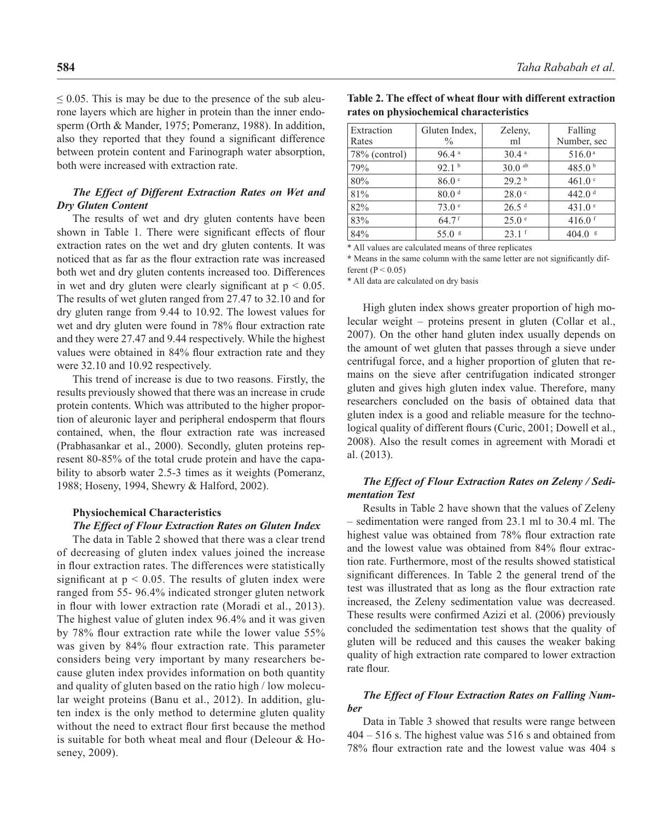$\leq$  0.05. This is may be due to the presence of the sub aleurone layers which are higher in protein than the inner endosperm (Orth & Mander, 1975; Pomeranz, 1988). In addition, also they reported that they found a significant difference between protein content and Farinograph water absorption, both were increased with extraction rate.

## *The Effect of Different Extraction Rates on Wet and Dry Gluten Content*

The results of wet and dry gluten contents have been shown in Table 1. There were significant effects of flour extraction rates on the wet and dry gluten contents. It was noticed that as far as the flour extraction rate was increased both wet and dry gluten contents increased too. Differences in wet and dry gluten were clearly significant at  $p < 0.05$ . The results of wet gluten ranged from 27.47 to 32.10 and for dry gluten range from 9.44 to 10.92. The lowest values for wet and dry gluten were found in 78% flour extraction rate and they were 27.47 and 9.44 respectively. While the highest values were obtained in 84% flour extraction rate and they were 32.10 and 10.92 respectively.

This trend of increase is due to two reasons. Firstly, the results previously showed that there was an increase in crude protein contents. Which was attributed to the higher proportion of aleuronic layer and peripheral endosperm that flours contained, when, the flour extraction rate was increased (Prabhasankar et al., 2000). Secondly, gluten proteins represent 80-85% of the total crude protein and have the capability to absorb water 2.5-3 times as it weights (Pomeranz, 1988; Hoseny, 1994, Shewry & Halford, 2002).

## **Physiochemical Characteristics**

#### *The Effect of Flour Extraction Rates on Gluten Index*

The data in Table 2 showed that there was a clear trend of decreasing of gluten index values joined the increase in flour extraction rates. The differences were statistically significant at  $p < 0.05$ . The results of gluten index were ranged from 55- 96.4% indicated stronger gluten network in flour with lower extraction rate (Moradi et al., 2013). The highest value of gluten index 96.4% and it was given by 78% flour extraction rate while the lower value 55% was given by 84% flour extraction rate. This parameter considers being very important by many researchers because gluten index provides information on both quantity and quality of gluten based on the ratio high / low molecular weight proteins (Banu et al., 2012). In addition, gluten index is the only method to determine gluten quality without the need to extract flour first because the method is suitable for both wheat meal and flour (Deleour  $&$  Hoseney, 2009).

| Extraction       | Gluten Index.       | Zeleny,           | Falling            |
|------------------|---------------------|-------------------|--------------------|
| Rates            | $\frac{0}{0}$       | ml                | Number, sec        |
| $78\%$ (control) | $96.4$ <sup>a</sup> | 30.4a             | 516.0a             |
| 79%              | 92.1 <sup>b</sup>   | $30.0$ ab         | 485.0 $b$          |
| 80%              | 86.0 <sup>c</sup>   | 29.2 <sup>b</sup> | 461.0 $\degree$    |
| 81%              | 80.0 <sup>d</sup>   | 28.0 °            | 442.0 $d$          |
| 82%              | 73.0 <sup>e</sup>   | 26.5 <sup>d</sup> | 431.0 <sup>c</sup> |
| 83%              | $64.7$ <sup>f</sup> | 25.0 <sup>°</sup> | 416.0 $f$          |
| 84%              | $55.0*$             | $23.1$ f          | 404.0<br>g         |

**Table 2. The effect of wheat flour with different extraction rates on physiochemical characteristics**

\* All values are calculated means of three replicates

\* Means in the same column with the same letter are not significantly different ( $P < 0.05$ )

\* All data are calculated on dry basis

High gluten index shows greater proportion of high molecular weight – proteins present in gluten (Collar et al., 2007). On the other hand gluten index usually depends on the amount of wet gluten that passes through a sieve under centrifugal force, and a higher proportion of gluten that remains on the sieve after centrifugation indicated stronger gluten and gives high gluten index value. Therefore, many researchers concluded on the basis of obtained data that gluten index is a good and reliable measure for the technological quality of different flours (Curic, 2001; Dowell et al., 2008). Also the result comes in agreement with Moradi et al. (2013).

## *The Effect of Flour Extraction Rates on Zeleny / Sedimentation Test*

Results in Table 2 have shown that the values of Zeleny – sedimentation were ranged from 23.1 ml to 30.4 ml. The highest value was obtained from 78% flour extraction rate and the lowest value was obtained from 84% flour extraction rate. Furthermore, most of the results showed statistical significant differences. In Table 2 the general trend of the test was illustrated that as long as the flour extraction rate increased, the Zeleny sedimentation value was decreased. These results were confirmed Azizi et al. (2006) previously concluded the sedimentation test shows that the quality of gluten will be reduced and this causes the weaker baking quality of high extraction rate compared to lower extraction rate flour.

# *The Effect of Flour Extraction Rates on Falling Number*

Data in Table 3 showed that results were range between 404 – 516 s. The highest value was 516 s and obtained from 78% flour extraction rate and the lowest value was 404 s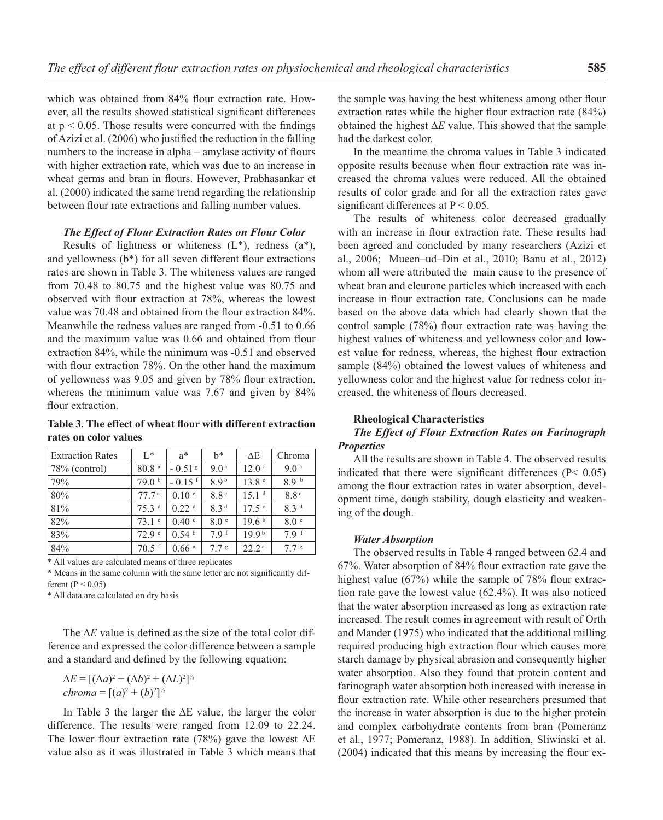which was obtained from 84% flour extraction rate. However, all the results showed statistical significant differences at  $p < 0.05$ . Those results were concurred with the findings of Azizi et al.  $(2006)$  who justified the reduction in the falling numbers to the increase in alpha – amylase activity of flours with higher extraction rate, which was due to an increase in wheat germs and bran in flours. However, Prabhasankar et al. (2000) indicated the same trend regarding the relationship between flour rate extractions and falling number values.

#### *The Effect of Flour Extraction Rates on Flour Color*

Results of lightness or whiteness  $(L^*)$ , redness  $(a^*)$ , and yellowness  $(b*)$  for all seven different flour extractions rates are shown in Table 3. The whiteness values are ranged from 70.48 to 80.75 and the highest value was 80.75 and observed with flour extraction at 78%, whereas the lowest value was 70.48 and obtained from the flour extraction 84%. Meanwhile the redness values are ranged from -0.51 to 0.66 and the maximum value was 0.66 and obtained from flour extraction 84%, while the minimum was -0.51 and observed with flour extraction 78%. On the other hand the maximum of yellowness was 9.05 and given by 78% flour extraction, whereas the minimum value was 7.67 and given by 84% flour extraction.

## Table 3. The effect of wheat flour with different extraction **rates on color values**

| <b>Extraction Rates</b> | $L^*$             | $a^*$                | $h^*$            | $\Delta E$        | Chroma           |
|-------------------------|-------------------|----------------------|------------------|-------------------|------------------|
| $78\%$ (control)        | 80.8 <sup>a</sup> | $-0.51$ s            | 9.0 <sup>a</sup> | $12.0$ f          | 9.0 <sup>a</sup> |
| 79%                     | 79.0 <sup>b</sup> | $-0.15$ <sup>f</sup> | 8.9 <sup>b</sup> | 13.8 <sup>e</sup> | 8.9 <sup>b</sup> |
| 80%                     | 77.7 <sup>c</sup> | 0.10 <sup>e</sup>    | 8.8 <sup>c</sup> | 15.1 <sup>d</sup> | 8.8 <sup>c</sup> |
| 81%                     | 75.3 <sup>d</sup> | 0.22 <sup>d</sup>    | 8.3 <sup>d</sup> | $17.5$ c          | 8.3 <sup>d</sup> |
| 82%                     | $73.1$ $\degree$  | 0.40 °               | 8.0 <sup>e</sup> | 19.6 <sup>b</sup> | 8.0 <sup>°</sup> |
| 83%                     | 72.9 <sup>e</sup> | 0.54 <sup>b</sup>    | 7.9 f            | 19.9 <sup>b</sup> | 7.9 f            |
| 84%                     | $70.5$ f          | $0.66$ <sup>a</sup>  | $7.7$ s          | 22.2 <sup>a</sup> | $7.7$ s          |

\* All values are calculated means of three replicates

\* Means in the same column with the same letter are not significantly different ( $P < 0.05$ )

\* All data are calculated on dry basis

The ∆*E* value is defined as the size of the total color difference and expressed the color difference between a sample and a standard and defined by the following equation:

$$
\Delta E = [(\Delta a)^2 + (\Delta b)^2 + (\Delta L)^2]^{1/2}
$$
  
chroma = 
$$
[(a)^2 + (b)^2]^{1/2}
$$

In Table 3 the larger the **∆**E value, the larger the color difference. The results were ranged from 12.09 to 22.24. The lower flour extraction rate (78%) gave the lowest  $\Delta E$ value also as it was illustrated in Table 3 which means that the sample was having the best whiteness among other flour extraction rates while the higher flour extraction rate  $(84%)$ obtained the highest **∆***E* value. This showed that the sample had the darkest color.

In the meantime the chroma values in Table 3 indicated opposite results because when flour extraction rate was increased the chroma values were reduced. All the obtained results of color grade and for all the extraction rates gave significant differences at  $P < 0.05$ .

The results of whiteness color decreased gradually with an increase in flour extraction rate. These results had been agreed and concluded by many researchers (Azizi et al., 2006; Mueen–ud–Din et al., 2010; Banu et al., 2012) whom all were attributed the main cause to the presence of wheat bran and eleurone particles which increased with each increase in flour extraction rate. Conclusions can be made based on the above data which had clearly shown that the control sample  $(78%)$  flour extraction rate was having the highest values of whiteness and yellowness color and lowest value for redness, whereas, the highest flour extraction sample (84%) obtained the lowest values of whiteness and yellowness color and the highest value for redness color increased, the whiteness of flours decreased.

#### **Rheological Characteristics**

## *The Effect of Flour Extraction Rates on Farinograph Properties*

All the results are shown in Table 4. The observed results indicated that there were significant differences ( $P < 0.05$ ) among the flour extraction rates in water absorption, development time, dough stability, dough elasticity and weakening of the dough.

#### *Water Absorption*

The observed results in Table 4 ranged between 62.4 and 67%. Water absorption of 84% flour extraction rate gave the highest value  $(67%)$  while the sample of 78% flour extraction rate gave the lowest value (62.4%). It was also noticed that the water absorption increased as long as extraction rate increased. The result comes in agreement with result of Orth and Mander (1975) who indicated that the additional milling required producing high extraction flour which causes more starch damage by physical abrasion and consequently higher water absorption. Also they found that protein content and farinograph water absorption both increased with increase in flour extraction rate. While other researchers presumed that the increase in water absorption is due to the higher protein and complex carbohydrate contents from bran (Pomeranz et al., 1977; Pomeranz, 1988). In addition, Sliwinski et al.  $(2004)$  indicated that this means by increasing the flour ex-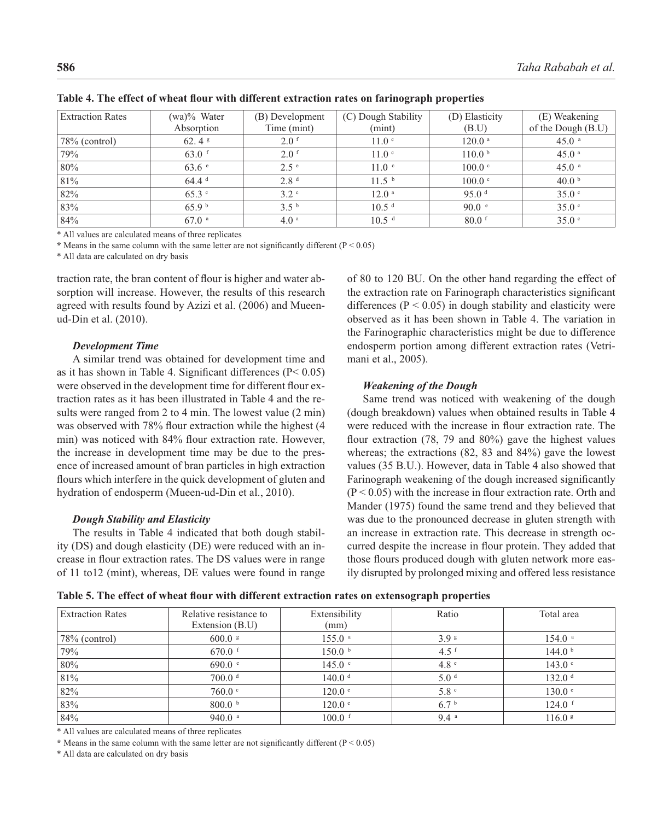| <b>Extraction Rates</b> | $(wa)\%$ Water<br>Absorption | (B) Development<br>Time (mint) | (C) Dough Stability<br>(min) | (D) Elasticity<br>(B.U) | (E) Weakening<br>of the Dough (B.U) |
|-------------------------|------------------------------|--------------------------------|------------------------------|-------------------------|-------------------------------------|
| $78\%$ (control)        | 62.4 $\frac{1}{2}$           | $2.0$ f                        | 11.0 <sup>c</sup>            | $120.0$ <sup>a</sup>    | $45.0$ a                            |
| 79%                     | $63.0$ f                     | $2.0$ f                        | 11.0 <sup>c</sup>            | 110.0 <sup>b</sup>      | $45.0^{\circ}$                      |
| 80%                     | $63.6$ e                     | $2.5^{\circ}$                  | 11.0 <sup>c</sup>            | $100.0$ $\degree$       | $45.0$ <sup>a</sup>                 |
| 81%                     | 64.4 <sup>d</sup>            | 2.8 <sup>d</sup>               | 11.5 <sup>b</sup>            | $100.0$ $\degree$       | 40.0 <sup>b</sup>                   |
| 82%                     | $65.3$ $\degree$             | 3.2 <sup>c</sup>               | 12.0 <sup>a</sup>            | 95.0 $d$                | 35.0 °                              |
| 83%                     | 65.9 <sup>b</sup>            | 3.5 <sup>b</sup>               | 10.5 <sup>d</sup>            | 90.0 °                  | 35.0 °                              |
| 84%                     | $67.0$ a                     | $4.0^{\circ}$                  | 10.5 <sup>d</sup>            | $80.0$ f                | 35.0 °                              |

Table 4. The effect of wheat flour with different extraction rates on farinograph properties

\* All values are calculated means of three replicates

\* Means in the same column with the same letter are not significantly different  $(P < 0.05)$ 

\* All data are calculated on dry basis

traction rate, the bran content of flour is higher and water absorption will increase. However, the results of this research agreed with results found by Azizi et al. (2006) and Mueenud-Din et al. (2010).

#### *Development Time*

A similar trend was obtained for development time and as it has shown in Table 4. Significant differences  $(P< 0.05)$ were observed in the development time for different flour extraction rates as it has been illustrated in Table 4 and the results were ranged from 2 to 4 min. The lowest value (2 min) was observed with 78% flour extraction while the highest (4 min) was noticed with 84% flour extraction rate. However, the increase in development time may be due to the presence of increased amount of bran particles in high extraction flours which interfere in the quick development of gluten and hydration of endosperm (Mueen-ud-Din et al., 2010).

#### *Dough Stability and Elasticity*

The results in Table 4 indicated that both dough stability (DS) and dough elasticity (DE) were reduced with an increase in flour extraction rates. The DS values were in range of 11 to12 (mint), whereas, DE values were found in range of 80 to 120 BU. On the other hand regarding the effect of the extraction rate on Farinograph characteristics significant differences ( $P < 0.05$ ) in dough stability and elasticity were observed as it has been shown in Table 4. The variation in the Farinographic characteristics might be due to difference endosperm portion among different extraction rates (Vetrimani et al., 2005).

#### *Weakening of the Dough*

Same trend was noticed with weakening of the dough (dough breakdown) values when obtained results in Table 4 were reduced with the increase in flour extraction rate. The flour extraction  $(78, 79, 79)$  and  $(80\%)$  gave the highest values whereas; the extractions (82, 83 and 84%) gave the lowest values (35 B.U.). However, data in Table 4 also showed that Farinograph weakening of the dough increased significantly  $(P < 0.05)$  with the increase in flour extraction rate. Orth and Mander (1975) found the same trend and they believed that was due to the pronounced decrease in gluten strength with an increase in extraction rate. This decrease in strength occurred despite the increase in flour protein. They added that those flours produced dough with gluten network more easily disrupted by prolonged mixing and offered less resistance

Table 5. The effect of wheat flour with different extraction rates on extensograph properties

| <b>Extraction Rates</b> | Relative resistance to<br>Extension (B.U) | Extensibility<br>(mm) | Ratio            | Total area           |
|-------------------------|-------------------------------------------|-----------------------|------------------|----------------------|
| $78\%$ (control)        | $600.0$ s                                 | $155.0$ <sup>a</sup>  | 3.9 <sup>g</sup> | $154.0$ <sup>a</sup> |
| 79%                     | $670.0$ f                                 | 150.0 <sup>b</sup>    | 4.5 $f$          | 144.0 <sup>b</sup>   |
| 80%                     | 690.0 $\degree$                           | $145.0$ $\degree$     | 4.8 <sup>e</sup> | 143.0 <sup>c</sup>   |
| 81%                     | 700.0 d                                   | 140.0 <sup>d</sup>    | 5.0 <sup>d</sup> | 132.0 <sup>d</sup>   |
| 82%                     | 760.0 °                                   | 120.0 °               | 5.8 <sup>c</sup> | 130.0 °              |
| 83%                     | 800.0 <sup>b</sup>                        | 120.0 °               | 6.7 <sup>b</sup> | $124.0$ f            |
| 84%                     | 940.0 $a$                                 | $100.0$ f             | 9.4a             | $116.0$ s            |

\* All values are calculated means of three replicates

\* Means in the same column with the same letter are not significantly different ( $P < 0.05$ )

\* All data are calculated on dry basis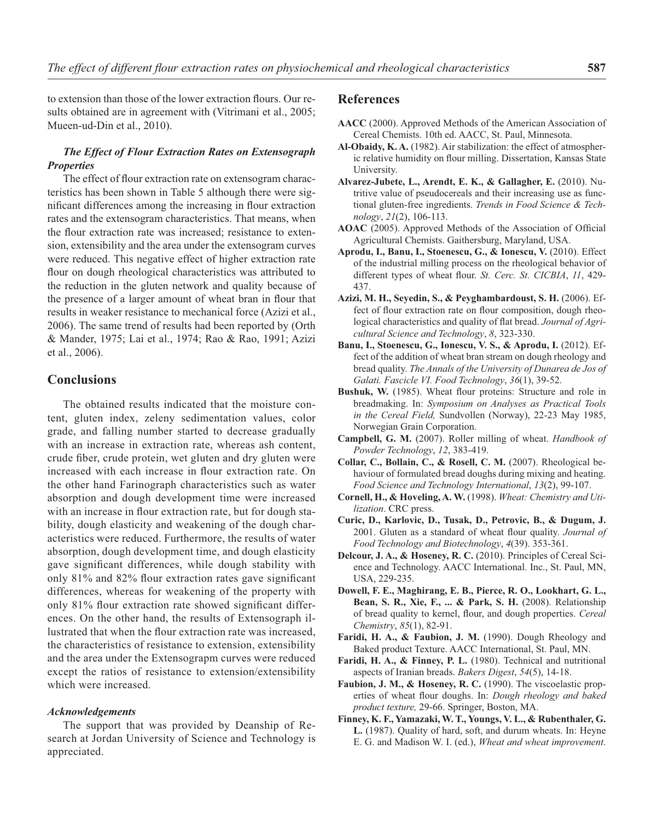to extension than those of the lower extraction flours. Our results obtained are in agreement with (Vitrimani et al., 2005; Mueen-ud-Din et al., 2010).

## *The Effect of Flour Extraction Rates on Extensograph Properties*

The effect of flour extraction rate on extensogram characteristics has been shown in Table 5 although there were significant differences among the increasing in flour extraction rates and the extensogram characteristics. That means, when the flour extraction rate was increased; resistance to extension, extensibility and the area under the extensogram curves were reduced. This negative effect of higher extraction rate flour on dough rheological characteristics was attributed to the reduction in the gluten network and quality because of the presence of a larger amount of wheat bran in flour that results in weaker resistance to mechanical force (Azizi et al., 2006). The same trend of results had been reported by (Orth & Mander, 1975; Lai et al., 1974; Rao & Rao, 1991; Azizi et al., 2006).

## **Conclusions**

The obtained results indicated that the moisture content, gluten index, zeleny sedimentation values, color grade, and falling number started to decrease gradually with an increase in extraction rate, whereas ash content, crude fiber, crude protein, wet gluten and dry gluten were increased with each increase in flour extraction rate. On the other hand Farinograph characteristics such as water absorption and dough development time were increased with an increase in flour extraction rate, but for dough stability, dough elasticity and weakening of the dough characteristics were reduced. Furthermore, the results of water absorption, dough development time, and dough elasticity gave significant differences, while dough stability with only  $81\%$  and  $82\%$  flour extraction rates gave significant differences, whereas for weakening of the property with only 81% flour extraction rate showed significant differences. On the other hand, the results of Extensograph illustrated that when the flour extraction rate was increased, the characteristics of resistance to extension, extensibility and the area under the Extensograpm curves were reduced except the ratios of resistance to extension/extensibility which were increased.

#### *Acknowledgements*

The support that was provided by Deanship of Research at Jordan University of Science and Technology is appreciated.

# **References**

- **AACC** (2000). Approved Methods of the American Association of Cereal Chemists. 10th ed. AACC, St. Paul, Minnesota.
- **Al-Obaidy, K. A.** (1982). Air stabilization: the effect of atmospheric relative humidity on flour milling. Dissertation, Kansas State University.
- **Alvarez-Jubete, L., Arendt, E. K., & Gallagher, E.** (2010). Nutritive value of pseudocereals and their increasing use as functional gluten-free ingredients. *Trends in Food Science & Technology*, *21*(2), 106-113.
- AOAC (2005). Approved Methods of the Association of Official Agricultural Chemists. Gaithersburg, Maryland, USA.
- **Aprodu, I., Banu, I., Stoenescu, G., & Ionescu, V.** (2010). Effect of the industrial milling process on the rheological behavior of different types of wheat flour. *St. Cerc. St. CICBIA*, 11, 429-437.
- **Azizi, M. H., Seyedin, S., & Peyghambardoust, S. H.** (2006). Effect of flour extraction rate on flour composition, dough rheological characteristics and quality of flat bread. *Journal of Agricultural Science and Technology*, *8*, 323-330.
- **Banu, I., Stoenescu, G., Ionescu, V. S., & Aprodu, I.** (2012). Effect of the addition of wheat bran stream on dough rheology and bread quality. *The Annals of the University of Dunarea de Jos of Galati. Fascicle VI. Food Technology*, *36*(1), 39-52.
- **Bushuk, W.** (1985). Wheat flour proteins: Structure and role in breadmaking. In: *Symposium on Analyses as Practical Tools in the Cereal Field,* Sundvollen (Norway), 22-23 May 1985, Norwegian Grain Corporation.
- **Campbell, G. M.** (2007). Roller milling of wheat. *Handbook of Powder Technology*, *12*, 383-419.
- **Collar, C., Bollain, C., & Rosell, C. M.** (2007). Rheological behaviour of formulated bread doughs during mixing and heating. *Food Science and Technology International*, *13*(2), 99-107.
- **Cornell, H., & Hoveling, A. W.** (1998). *Wheat: Chemistry and Utilization*. CRC press.
- **Curic, D., Karlovic, D., Tusak, D., Petrovic, B., & Dugum, J.** 2001. Gluten as a standard of wheat flour quality. *Journal of Food Technology and Biotechnology*, *4*(39). 353-361.
- **Delcour, J. A., & Hoseney, R. C.** (2010). Principles of Cereal Science and Technology. AACC International. Inc., St. Paul, MN, USA, 229-235.
- **Dowell, F. E., Maghirang, E. B., Pierce, R. O., Lookhart, G. L., Bean, S. R., Xie, F., ... & Park, S. H.** (2008). Relationship of bread quality to kernel, flour, and dough properties. *Cereal Chemistry*, *85*(1), 82-91.
- **Faridi, H. A., & Faubion, J. M.** (1990). Dough Rheology and Baked product Texture. AACC International, St. Paul, MN.
- **Faridi, H. A., & Finney, P. L.** (1980). Technical and nutritional aspects of Iranian breads. *Bakers Digest*, *54*(5), 14-18.
- **Faubion, J. M., & Hoseney, R. C.** (1990). The viscoelastic properties of wheat flour doughs. In: *Dough rheology and baked product texture,* 29-66. Springer, Boston, MA.
- **Finney, K. F., Yamazaki, W. T., Youngs, V. L., & Rubenthaler, G. L.** (1987). Quality of hard, soft, and durum wheats. In: Heyne E. G. and Madison W. I. (ed.), *Wheat and wheat improvement*.